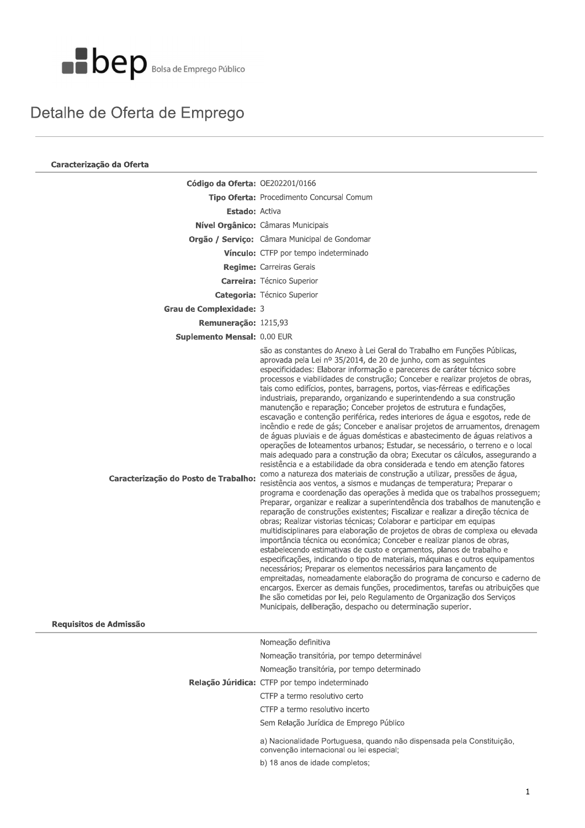

#### Detalhe de Oferta de Emprego

| Código da Oferta: OE202201/0166                                                                                                                                                                                                                                                                                                                                                                                                                                                                                                                                                                                                                                                                                                                                                                                                                                                                                                                                                                                                                                                                                                                                                                                                                                                                                                                                                                                                                                                                                                                                                                                                                                                                                                                                                                                                                                                                                                                                                                                                                                                                                                                                                                                                                                            |
|----------------------------------------------------------------------------------------------------------------------------------------------------------------------------------------------------------------------------------------------------------------------------------------------------------------------------------------------------------------------------------------------------------------------------------------------------------------------------------------------------------------------------------------------------------------------------------------------------------------------------------------------------------------------------------------------------------------------------------------------------------------------------------------------------------------------------------------------------------------------------------------------------------------------------------------------------------------------------------------------------------------------------------------------------------------------------------------------------------------------------------------------------------------------------------------------------------------------------------------------------------------------------------------------------------------------------------------------------------------------------------------------------------------------------------------------------------------------------------------------------------------------------------------------------------------------------------------------------------------------------------------------------------------------------------------------------------------------------------------------------------------------------------------------------------------------------------------------------------------------------------------------------------------------------------------------------------------------------------------------------------------------------------------------------------------------------------------------------------------------------------------------------------------------------------------------------------------------------------------------------------------------------|
| Tipo Oferta: Procedimento Concursal Comum                                                                                                                                                                                                                                                                                                                                                                                                                                                                                                                                                                                                                                                                                                                                                                                                                                                                                                                                                                                                                                                                                                                                                                                                                                                                                                                                                                                                                                                                                                                                                                                                                                                                                                                                                                                                                                                                                                                                                                                                                                                                                                                                                                                                                                  |
| <b>Estado: Activa</b>                                                                                                                                                                                                                                                                                                                                                                                                                                                                                                                                                                                                                                                                                                                                                                                                                                                                                                                                                                                                                                                                                                                                                                                                                                                                                                                                                                                                                                                                                                                                                                                                                                                                                                                                                                                                                                                                                                                                                                                                                                                                                                                                                                                                                                                      |
| Nível Orgânico: Câmaras Municipais                                                                                                                                                                                                                                                                                                                                                                                                                                                                                                                                                                                                                                                                                                                                                                                                                                                                                                                                                                                                                                                                                                                                                                                                                                                                                                                                                                                                                                                                                                                                                                                                                                                                                                                                                                                                                                                                                                                                                                                                                                                                                                                                                                                                                                         |
| Orgão / Serviço: Câmara Municipal de Gondomar                                                                                                                                                                                                                                                                                                                                                                                                                                                                                                                                                                                                                                                                                                                                                                                                                                                                                                                                                                                                                                                                                                                                                                                                                                                                                                                                                                                                                                                                                                                                                                                                                                                                                                                                                                                                                                                                                                                                                                                                                                                                                                                                                                                                                              |
| Vínculo: CTFP por tempo indeterminado                                                                                                                                                                                                                                                                                                                                                                                                                                                                                                                                                                                                                                                                                                                                                                                                                                                                                                                                                                                                                                                                                                                                                                                                                                                                                                                                                                                                                                                                                                                                                                                                                                                                                                                                                                                                                                                                                                                                                                                                                                                                                                                                                                                                                                      |
| <b>Regime:</b> Carreiras Gerais                                                                                                                                                                                                                                                                                                                                                                                                                                                                                                                                                                                                                                                                                                                                                                                                                                                                                                                                                                                                                                                                                                                                                                                                                                                                                                                                                                                                                                                                                                                                                                                                                                                                                                                                                                                                                                                                                                                                                                                                                                                                                                                                                                                                                                            |
| <b>Carreira:</b> Técnico Superior                                                                                                                                                                                                                                                                                                                                                                                                                                                                                                                                                                                                                                                                                                                                                                                                                                                                                                                                                                                                                                                                                                                                                                                                                                                                                                                                                                                                                                                                                                                                                                                                                                                                                                                                                                                                                                                                                                                                                                                                                                                                                                                                                                                                                                          |
| <b>Categoria:</b> Técnico Superior                                                                                                                                                                                                                                                                                                                                                                                                                                                                                                                                                                                                                                                                                                                                                                                                                                                                                                                                                                                                                                                                                                                                                                                                                                                                                                                                                                                                                                                                                                                                                                                                                                                                                                                                                                                                                                                                                                                                                                                                                                                                                                                                                                                                                                         |
| Grau de Complexidade: 3                                                                                                                                                                                                                                                                                                                                                                                                                                                                                                                                                                                                                                                                                                                                                                                                                                                                                                                                                                                                                                                                                                                                                                                                                                                                                                                                                                                                                                                                                                                                                                                                                                                                                                                                                                                                                                                                                                                                                                                                                                                                                                                                                                                                                                                    |
| Remuneração: 1215,93                                                                                                                                                                                                                                                                                                                                                                                                                                                                                                                                                                                                                                                                                                                                                                                                                                                                                                                                                                                                                                                                                                                                                                                                                                                                                                                                                                                                                                                                                                                                                                                                                                                                                                                                                                                                                                                                                                                                                                                                                                                                                                                                                                                                                                                       |
| Suplemento Mensal: 0.00 EUR                                                                                                                                                                                                                                                                                                                                                                                                                                                                                                                                                                                                                                                                                                                                                                                                                                                                                                                                                                                                                                                                                                                                                                                                                                                                                                                                                                                                                                                                                                                                                                                                                                                                                                                                                                                                                                                                                                                                                                                                                                                                                                                                                                                                                                                |
| são as constantes do Anexo à Lei Geral do Trabalho em Funções Públicas,<br>aprovada pela Lei nº 35/2014, de 20 de junho, com as seguintes<br>especificidades: Elaborar informação e pareceres de caráter técnico sobre<br>processos e viabilidades de construção; Conceber e realizar projetos de obras,<br>tais como edifícios, pontes, barragens, portos, vias-férreas e edificações<br>industriais, preparando, organizando e superintendendo a sua construção<br>manutenção e reparação; Conceber projetos de estrutura e fundações,<br>escavação e contenção periférica, redes interiores de água e esgotos, rede de<br>incêndio e rede de gás; Conceber e analisar projetos de arruamentos, drenagem<br>de águas pluviais e de águas domésticas e abastecimento de águas relativos a<br>operações de loteamentos urbanos; Estudar, se necessário, o terreno e o local<br>mais adequado para a construção da obra; Executar os cálculos, assegurando a<br>resistência e a estabilidade da obra considerada e tendo em atenção fatores<br>como a natureza dos materiais de construção a utilizar, pressões de água,<br>Caracterização do Posto de Trabalho:<br>resistência aos ventos, a sismos e mudanças de temperatura; Preparar o<br>programa e coordenação das operações à medida que os trabalhos prosseguem;<br>Preparar, organizar e realizar a superintendência dos trabalhos de manutenção e<br>reparação de construções existentes; Fiscalizar e realizar a direção técnica de<br>obras; Realizar vistorias técnicas; Colaborar e participar em equipas<br>multidisciplinares para elaboração de projetos de obras de complexa ou elevada<br>importância técnica ou económica; Conceber e realizar planos de obras,<br>estabelecendo estimativas de custo e orçamentos, planos de trabalho e<br>especificações, indicando o tipo de materiais, máquinas e outros equipamentos<br>necessários; Preparar os elementos necessários para lançamento de<br>empreitadas, nomeadamente elaboração do programa de concurso e caderno de<br>encargos. Exercer as demais funções, procedimentos, tarefas ou atribuições que<br>Ihe são cometidas por lei, pelo Regulamento de Organização dos Serviços<br>Municipais, deliberação, despacho ou determinação superior. |
|                                                                                                                                                                                                                                                                                                                                                                                                                                                                                                                                                                                                                                                                                                                                                                                                                                                                                                                                                                                                                                                                                                                                                                                                                                                                                                                                                                                                                                                                                                                                                                                                                                                                                                                                                                                                                                                                                                                                                                                                                                                                                                                                                                                                                                                                            |
| Nomeação definitiva<br>Nomeação transitória, por tempo determinável                                                                                                                                                                                                                                                                                                                                                                                                                                                                                                                                                                                                                                                                                                                                                                                                                                                                                                                                                                                                                                                                                                                                                                                                                                                                                                                                                                                                                                                                                                                                                                                                                                                                                                                                                                                                                                                                                                                                                                                                                                                                                                                                                                                                        |
|                                                                                                                                                                                                                                                                                                                                                                                                                                                                                                                                                                                                                                                                                                                                                                                                                                                                                                                                                                                                                                                                                                                                                                                                                                                                                                                                                                                                                                                                                                                                                                                                                                                                                                                                                                                                                                                                                                                                                                                                                                                                                                                                                                                                                                                                            |
| Nomeação transitória, por tempo determinado<br>Relação Júridica: CTFP por tempo indeterminado                                                                                                                                                                                                                                                                                                                                                                                                                                                                                                                                                                                                                                                                                                                                                                                                                                                                                                                                                                                                                                                                                                                                                                                                                                                                                                                                                                                                                                                                                                                                                                                                                                                                                                                                                                                                                                                                                                                                                                                                                                                                                                                                                                              |
| CTFP a termo resolutivo certo                                                                                                                                                                                                                                                                                                                                                                                                                                                                                                                                                                                                                                                                                                                                                                                                                                                                                                                                                                                                                                                                                                                                                                                                                                                                                                                                                                                                                                                                                                                                                                                                                                                                                                                                                                                                                                                                                                                                                                                                                                                                                                                                                                                                                                              |
| CTFP a termo resolutivo incerto                                                                                                                                                                                                                                                                                                                                                                                                                                                                                                                                                                                                                                                                                                                                                                                                                                                                                                                                                                                                                                                                                                                                                                                                                                                                                                                                                                                                                                                                                                                                                                                                                                                                                                                                                                                                                                                                                                                                                                                                                                                                                                                                                                                                                                            |
| Sem Relação Jurídica de Emprego Público                                                                                                                                                                                                                                                                                                                                                                                                                                                                                                                                                                                                                                                                                                                                                                                                                                                                                                                                                                                                                                                                                                                                                                                                                                                                                                                                                                                                                                                                                                                                                                                                                                                                                                                                                                                                                                                                                                                                                                                                                                                                                                                                                                                                                                    |
|                                                                                                                                                                                                                                                                                                                                                                                                                                                                                                                                                                                                                                                                                                                                                                                                                                                                                                                                                                                                                                                                                                                                                                                                                                                                                                                                                                                                                                                                                                                                                                                                                                                                                                                                                                                                                                                                                                                                                                                                                                                                                                                                                                                                                                                                            |
|                                                                                                                                                                                                                                                                                                                                                                                                                                                                                                                                                                                                                                                                                                                                                                                                                                                                                                                                                                                                                                                                                                                                                                                                                                                                                                                                                                                                                                                                                                                                                                                                                                                                                                                                                                                                                                                                                                                                                                                                                                                                                                                                                                                                                                                                            |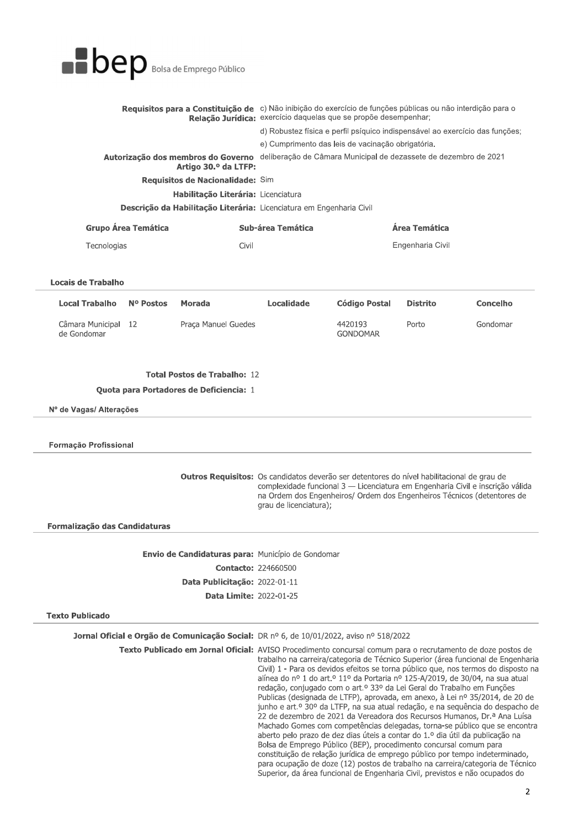|  | <b>BOED</b> Bolsa de Emprego Público |
|--|--------------------------------------|
|--|--------------------------------------|

| <b>Dep</b> Bolsa de Emprego Público                                  |                                                                                                                                                                                |
|----------------------------------------------------------------------|--------------------------------------------------------------------------------------------------------------------------------------------------------------------------------|
|                                                                      | Requisitos para a Constituição de c) Não inibição do exercício de funções públicas ou não interdição para o<br>Relação Jurídica: exercício daquelas que se propõe desempenhar; |
|                                                                      | d) Robustez física e perfil psíquico indispensável ao exercício das funções;                                                                                                   |
|                                                                      | e) Cumprimento das leis de vacinação obrigatória.                                                                                                                              |
| Autorização dos membros do Governo<br>Artigo 30.º da LTFP:           | deliberação de Câmara Municipal de dezassete de dezembro de 2021                                                                                                               |
| Requisitos de Nacionalidade: Sim                                     |                                                                                                                                                                                |
| Habilitação Literária: Licenciatura                                  |                                                                                                                                                                                |
| Descrição da Habilitação Literária: Licenciatura em Engenharia Civil |                                                                                                                                                                                |
|                                                                      |                                                                                                                                                                                |

| Grupo Área Temática | Sub-área Temática | Área Temática    |
|---------------------|-------------------|------------------|
| Tecnologias         | Civil             | Engenharia Civil |

#### Locais de Trabaino

| <b>Local Trabalho</b>              | Nº Postos | Morada              | Localidade | Código Postal              | Distrito | <b>Concelho</b> |
|------------------------------------|-----------|---------------------|------------|----------------------------|----------|-----------------|
| Câmara Municipal 12<br>de Gondomar |           | Praca Manuel Guedes |            | 4420193<br><b>GONDOMAR</b> | Porto    | Gondomar        |

#### **Fotal Postos de Trabalho:**  $12$

Quota para Portadores de Deficiencia: 1

Nº de Vagas/ Alterações<br>Formação Profissional

Outros Requ $\bf s$ Outros Requisitos: Os candidatos deverão ser detentores do nível habilitacional de grau de  $\Omega$ complexidade funcional 3 — Licenciatura em Engenharia Civil e inscrição válida na Ordem dos Engenheiros/ Ordem dos Engenheiros Técnicos (detentores de grau de licenciatura);

Formalização das Candidaturas

**Envio de Candidaturas para:** Municipio de Gondomar  $\text{Contaccto: } 224660500$ **Data Publicitação:** 2022-01-11 **Data Limite:** 2022-01-25

**FRANCE PUBLICADO** 

**Jornal Oficial e Orgao de Comunicação Social:** DR nº 6, de 10/01/2022, avisó nº 518/2022

**Fexto Publicado em Jornal Oricial:** AVISO Procedimento concursal comum para o recrutamento de doze postos de

trabalho na carreira/categoria de Técnico Superior (área funcional de Engenharia Civil) 1 - Para os devidos efeitos se torna público que, nos termos do disposto na alínea do nº 1 do art.º 11º da Portaria nº 125-A/2019, de 30/04, na sua atual  $T_1$ redação, conjugado com o art.º 33º da Lei Geral do Trabalho em Funções Publicas (designada de LTFP), aprovada, em anexo, à Lei nº 35/2014, de 20 de junho e art.º  $30^\circ$  da LTFP, na sua atual redação, e na sequência do despacho de 22 de dezembro de 2021 da Vereadora dos Recursos Humanos, Dr.ª Ana Luísa Machado Gomes com competências delegadas, torna-se público que se encontra aberto pelo prazo de dez dias úteis a contar do  $1.9$  dia útil da publicação na Bolsa de Emprego Público (BEP), procedimento concursal comum para constituição de relação jurídica de emprego público por tempo indeterminado, para ocupação de doze (12) postos de trabalho na carreira/categoria de Técnico Superior, da área funcional de Engenharia Civil, previstos e não ocupados do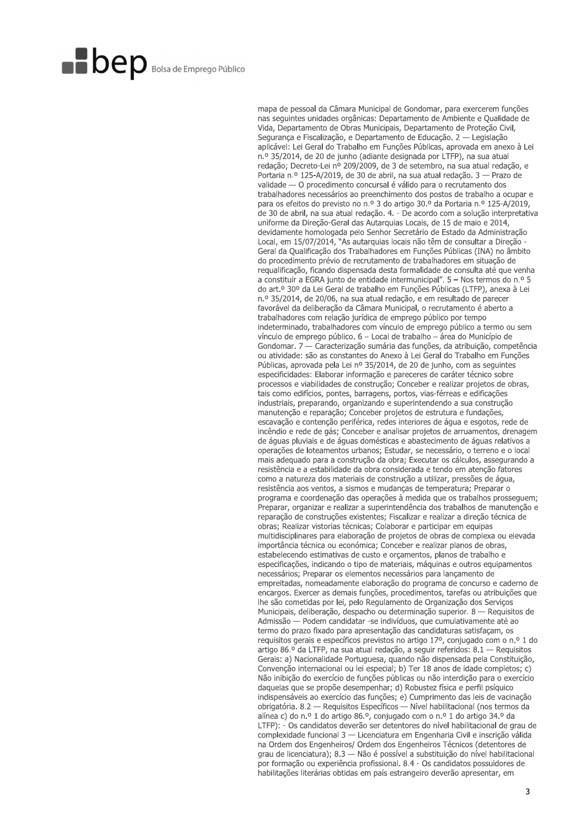mapa de pessoal da Câmara Municipal de Gondomar, para exercerem funções nas sequintes unidades orgânicas: Departamento de Ambiente e Qualidade de Vida, Departamento de Obras Municipais, Departamento de Proteção Civil, Segurança e Fiscalização, e Departamento de Educação. 2 — Legislação aplicável: Lei Geral do Trabalho em Funções Públicas, aprovada em anexo à Lei n.º 35/2014, de 20 de junho (adiante designada por LTFP), na sua atual redação; Decreto-Lei nº 209/2009, de 3 de setembro, na sua atual redação, e Portaria n.º 125-A/2019, de 30 de abril, na sua atual redação. 3 - Prazo de validade - O procedimento concursal é válido para o recrutamento dos trabalhadores necessários ao preenchimento dos postos de trabalho a ocupar e para os efeitos do previsto no n.º 3 do artigo 30.º da Portaria n.º 125-A/2019, de 30 de abril, na sua atual redação. 4. - De acordo com a solução interpretativa uniforme da Direção-Geral das Autarquias Locais, de 15 de maio e 2014, devidamente homologada pelo Senhor Secretário de Estado da Administração Local, em 15/07/2014, "As autarquias locais não têm de consultar a Direção Geral da Qualificação dos Trabalhadores em Funções Públicas (INA) no âmbito do procedimento prévio de recrutamento de trabalhadores em situação de requalificação, ficando dispensada desta formalidade de consulta até que venha a constituir a EGRA junto de entidade intermunicipal". 5 - Nos termos do n.º 5 do art.º 30º da Lei Geral de trabalho em Funções Públicas (LTFP), anexa à Lei n.º 35/2014, de 20/06, na sua atual redação, e em resultado de parecer favorável da deliberação da Câmara Municipal, o recrutamento é aberto a trabalhadores com relação jurídica de emprego público por tempo indeterminado, trabalhadores com vínculo de emprego público a termo ou sem vínculo de emprego público. 6 - Local de trabalho - área do Município de Gondomar. 7 — Caracterização sumária das funções, da atribuição, competência ou atividade: são as constantes do Anexo à Lei Geral do Trabalho em Funções Públicas, aprovada pela Lei nº 35/2014, de 20 de junho, com as sequintes especificidades: Elaborar informação e pareceres de caráter técnico sobre processos e viabilidades de construção: Conceber e realizar projetos de obras. tais como edifícios, pontes, barragens, portos, vias-férreas e edificações industriais, preparando, organizando e superintendendo a sua construção manutenção e reparação; Conceber projetos de estrutura e fundações, escavação e contenção periférica, redes interiores de água e esgotos, rede de incêndio e rede de gás; Conceber e analisar projetos de arruamentos, drenagem de águas pluviais e de águas domésticas e abastecimento de águas relativos a operações de loteamentos urbanos: Estudar, se necessário, o terreno e o local mais adequado para a construção da obra; Executar os cálculos, assegurando a resistência e a estabilidade da obra considerada e tendo em atenção fatores como a natureza dos materiais de construção a utilizar, pressões de água, resistência aos ventos, a sismos e mudanças de temperatura; Preparar o programa e coordenação das operações à medida que os trabalhos prosseguem; Preparar, organizar e realizar a superintendência dos trabalhos de manutenção e reparação de construções existentes; Fiscalizar e realizar a direção técnica de obras; Realizar vistorias técnicas; Colaborar e participar em equipas multidisciplinares para elaboração de projetos de obras de complexa ou elevada importância técnica ou económica; Conceber e realizar planos de obras, estabelecendo estimativas de custo e orçamentos, planos de trabalho e especificações, indicando o tipo de materiais, máquinas e outros equipamentos necessários; Preparar os elementos necessários para lançamento de empreitadas, nomeadamente elaboração do programa de concurso e caderno de encargos. Exercer as demais funções, procedimentos, tarefas ou atribuições que lhe são cometidas por lei, pelo Regulamento de Organização dos Servicos Municipais, deliberação, despacho ou determinação superior. 8 — Requisitos de Admissão — Podem candidatar -se indivíduos, que cumulativamente até ao termo do prazo fixado para apresentação das candidaturas satisfaçam, os requisitos gerais e específicos previstos no artigo 17º, conjugado com o n.º 1 do artigo 86.º da LTFP, na sua atual redação, a seguir referidos: 8.1 — Requisitos Gerais: a) Nacionalidade Portuguesa, quando não dispensada pela Constituição, Convenção internacional ou lei especial; b) Ter 18 anos de idade completos; c) Não inibição do exercício de funções públicas ou não interdição para o exercício daquelas que se propõe desempenhar; d) Robustez física e perfil psíquico indispensáveis ao exercício das funções; e) Cumprimento das leis de vacinação obrigatória. 8.2 — Requisitos Específicos — Nível habilitacional (nos termos da alínea c) do n.º 1 do artigo 86.º, conjugado com o n.º 1 do artigo 34.º da LTFP): - Os candidatos deverão ser detentores do nível habilitacional de grau de complexidade funcional 3 - Licenciatura em Engenharia Civil e inscrição válida na Ordem dos Engenheiros/ Ordem dos Engenheiros Técnicos (detentores de grau de licenciatura); 8.3 — Não é possível a substituição do nível habilitacional por formação ou experiência profissional. 8.4 - Os candidatos possuidores de habilitações literárias obtidas em país estrangeiro deverão apresentar, em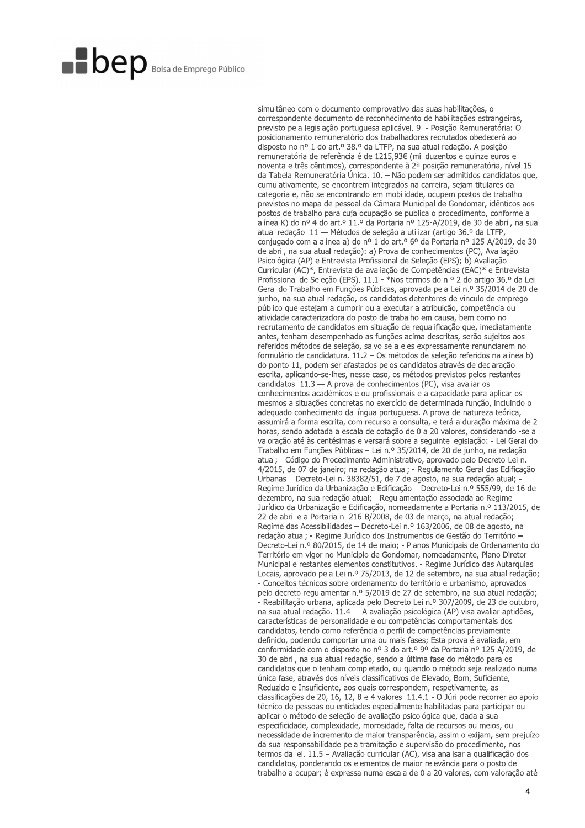simultâneo com o documento comprovativo das suas habilitações, o correspondente documento de reconhecimento de habilitações estrangeiras, previsto pela legislação portuguesa aplicável. 9. - Posição Remuneratória: O posicionamento remuneratório dos trabalhadores recrutados obedecerá ao disposto no nº 1 do art.º 38.º da LTFP, na sua atual redação. A posição remuneratória de referência é de 1215,93€ (mil duzentos e quinze euros e noventa e três cêntimos), correspondente à 2ª posição remuneratória, nível 15 da Tabela Remuneratória Única. 10. - Não podem ser admitidos candidatos que, cumulativamente, se encontrem integrados na carreira, sejam titulares da categoria e, não se encontrando em mobilidade, ocupem postos de trabalho previstos no mapa de pessoal da Câmara Municipal de Gondomar, idênticos aos postos de trabalho para cuja ocupação se publica o procedimento, conforme a alínea K) do nº 4 do art.º 11.º da Portaria nº 125-A/2019, de 30 de abril, na sua atual redação. 11 - Métodos de seleção a utilizar (artigo 36.º da LTFP, conjugado com a alínea a) do nº 1 do art.º 6º da Portaria nº 125-A/2019, de 30 de abril, na sua atual redação): a) Prova de conhecimentos (PC), Avaliação Psicológica (AP) e Entrevista Profissional de Seleção (EPS); b) Avaliação Curricular (AC)\*, Entrevista de avaliação de Competências (EAC)\* e Entrevista Profissional de Seleção (EPS). 11.1 - \*Nos termos do n.º 2 do artigo 36.º da Lei Geral do Trabalho em Funções Públicas, aprovada pela Lei n.º 35/2014 de 20 de junho, na sua atual redação, os candidatos detentores de vínculo de emprego público que estejam a cumprir ou a executar a atribuição, competência ou atividade caracterizadora do posto de trabalho em causa, bem como no recrutamento de candidatos em situação de requalificação que, imediatamente antes, tenham desempenhado as funções acima descritas, serão sujeitos aos referidos métodos de seleção, salvo se a eles expressamente renunciarem no formulário de candidatura. 11.2 - Os métodos de seleção referidos na alínea b) do ponto 11, podem ser afastados pelos candidatos através de declaração escrita, aplicando-se-lhes, nesse caso, os métodos previstos pelos restantes candidatos. 11.3 - A prova de conhecimentos (PC), visa avaliar os conhecimentos académicos e ou profissionais e a capacidade para aplicar os mesmos a situações concretas no exercício de determinada função, incluindo o adequado conhecimento da língua portuguesa. A prova de natureza teórica, assumirá a forma escrita, com recurso a consulta, e terá a duração máxima de 2 horas, sendo adotada a escala de cotação de 0 a 20 valores, considerando -se a valoração até às centésimas e versará sobre a seguinte legislação: - Lei Geral do Trabalho em Funções Públicas - Lei n.º 35/2014, de 20 de junho, na redação atual; - Código do Procedimento Administrativo, aprovado pelo Decreto-Lei n. 4/2015, de 07 de janeiro; na redação atual; - Regulamento Geral das Edificação Urbanas - Decreto-Lei n. 38382/51, de 7 de agosto, na sua redação atual; -Regime Jurídico da Urbanização e Edificação - Decreto-Lei n.º 555/99, de 16 de dezembro, na sua redação atual; - Regulamentação associada ao Regime Jurídico da Urbanização e Edificação, nomeadamente a Portaria n.º 113/2015, de 22 de abril e a Portaria n. 216-B/2008, de 03 de março, na atual redação; -Regime das Acessibilidades - Decreto-Lei n.º 163/2006, de 08 de agosto, na redação atual: - Regime Jurídico dos Instrumentos de Gestão do Território -Decreto-Lei n.º 80/2015, de 14 de maio; - Planos Municipais de Ordenamento do Território em vigor no Município de Gondomar, nomeadamente, Plano Diretor Municipal e restantes elementos constitutivos. - Regime Jurídico das Autarquias Locais, aprovado pela Lei n.º 75/2013, de 12 de setembro, na sua atual redação; - Conceitos técnicos sobre ordenamento do território e urbanismo, aprovados pelo decreto regulamentar n.º 5/2019 de 27 de setembro, na sua atual redação; - Reabilitação urbana, aplicada pelo Decreto Lei n.º 307/2009, de 23 de outubro, na sua atual redação. 11.4 — A avaliação psicológica (AP) visa avaliar aptidões, características de personalidade e ou competências comportamentais dos candidatos, tendo como referência o perfil de competências previamente definido, podendo comportar uma ou mais fases; Esta prova é avaliada, em conformidade com o disposto no nº 3 do art.º 9º da Portaria nº 125-A/2019, de 30 de abril, na sua atual redação, sendo a última fase do método para os candidatos que o tenham completado, ou quando o método seja realizado numa única fase, através dos níveis classificativos de Elevado, Bom, Suficiente, Reduzido e Insuficiente, aos quais correspondem, respetivamente, as classificações de 20, 16, 12, 8 e 4 valores. 11.4.1 - O Júri pode recorrer ao apoio técnico de pessoas ou entidades especialmente habilitadas para participar ou aplicar o método de seleção de avaliação psicológica que, dada a sua especificidade, complexidade, morosidade, falta de recursos ou meios, ou necessidade de incremento de maior transparência, assim o exijam, sem prejuízo da sua responsabilidade pela tramitação e supervisão do procedimento, nos termos da lei. 11.5 - Avaliação curricular (AC), visa analisar a qualificação dos candidatos, ponderando os elementos de maior relevância para o posto de trabalho a ocupar; é expressa numa escala de 0 a 20 valores, com valoração até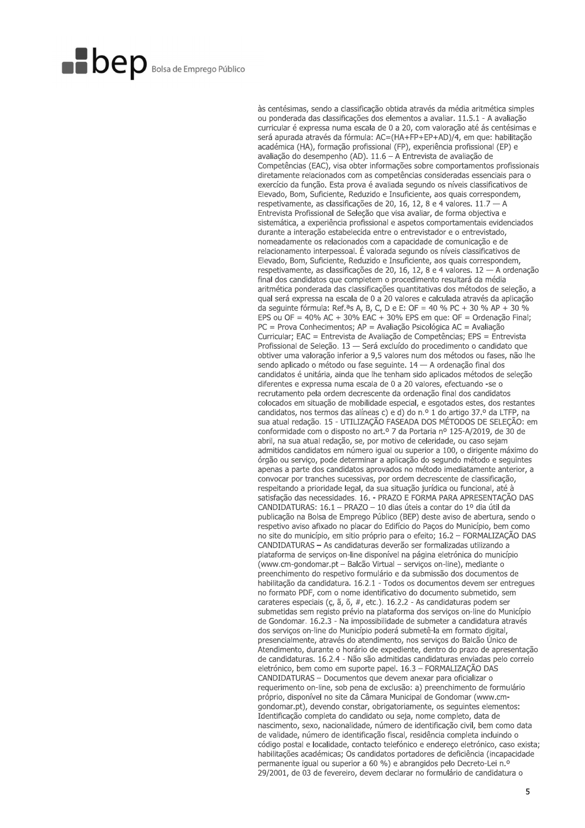às centésimas, sendo a classificação obtida através da média aritmética simples ou ponderada das classificações dos elementos a avaliar. 11.5.1 - A avaliação curricular é expressa numa escala de 0 a 20, com valoração até ás centésimas e será apurada através da fórmula: AC=(HA+FP+EP+AD)/4, em que: habilitação académica (HA), formação profissional (FP), experiência profissional (EP) e avaliação do desempenho (AD). 11.6 - A Entrevista de avaliação de Competências (EAC), visa obter informações sobre comportamentos profissionais diretamente relacionados com as competências consideradas essenciais para o exercício da função. Esta prova é avaliada segundo os níveis classificativos de Elevado, Bom, Suficiente, Reduzido e Insuficiente, aos quais correspondem, respetivamente, as classificações de 20, 16, 12, 8 e 4 valores. 11.7 - A Entrevista Profissional de Seleção que visa avaliar, de forma objectiva e sistemática, a experiência profissional e aspetos comportamentais evidenciados durante a interação estabelecida entre o entrevistador e o entrevistado, nomeadamente os relacionados com a capacidade de comunicação e de relacionamento interpessoal. É valorada segundo os níveis classificativos de Elevado, Bom, Suficiente, Reduzido e Insuficiente, aos quais correspondem, respetivamente, as classificações de 20, 16, 12, 8 e 4 valores. 12 - A ordenação final dos candidatos que completem o procedimento resultará da média aritmética ponderada das classificações quantitativas dos métodos de seleção, a qual será expressa na escala de 0 a 20 valores e calculada através da aplicação da seguinte fórmula: Ref.<sup>a</sup>s A, B, C, D e E: OF = 40 % PC + 30 % AP + 30 % EPS ou OF = 40% AC + 30% EAC + 30% EPS em que: OF = Ordenação Final;  $PC = Prova$  Conhecimentos;  $AP =$  Avaliação Psicológica AC = Avaliação Curricular; EAC = Entrevista de Avaliação de Competências; EPS = Entrevista Profissional de Selecão. 13 - Será excluído do procedimento o candidato que obtiver uma valoração inferior a 9,5 valores num dos métodos ou fases, não lhe sendo aplicado o método ou fase seguinte. 14 - A ordenação final dos candidatos é unitária, ainda que lhe tenham sido aplicados métodos de seleção diferentes e expressa numa escala de 0 a 20 valores, efectuando -se o recrutamento pela ordem decrescente da ordenação final dos candidatos colocados em situação de mobilidade especial, e esgotados estes, dos restantes candidatos, nos termos das alíneas c) e d) do n.º 1 do artigo 37.º da LTFP. na sua atual redação. 15 - UTILIZAÇÃO FASEADA DOS MÉTODOS DE SELEÇÃO: em conformidade com o disposto no art.<sup>o</sup> 7 da Portaria nº 125-A/2019, de 30 de abril, na sua atual redação, se, por motivo de celeridade, ou caso sejam admitidos candidatos em número joual ou superior a 100, o dirigente máximo do órgão ou serviço, pode determinar a aplicação do segundo método e seguintes apenas a parte dos candidatos aprovados no método imediatamente anterior, a convocar por tranches sucessivas, por ordem decrescente de classificação, respeitando a prioridade legal, da sua situação jurídica ou funcional, até à satisfação das necessidades. 16. - PRAZO E FORMA PARA APRESENTAÇÃO DAS CANDIDATURAS: 16.1 - PRAZO - 10 dias úteis a contar do 1º dia útil da publicação na Bolsa de Emprego Público (BEP) deste aviso de abertura, sendo o respetivo aviso afixado no placar do Edifício do Paços do Município, bem como no site do município, em sitio próprio para o efeito; 16.2 – FORMALIZACÃO DAS CANDIDATURAS - As candidaturas deverão ser formalizadas utilizando a plataforma de serviços on-line disponível na página eletrónica do município (www.cm-gondomar.pt - Balcão Virtual - serviços on-line), mediante o preenchimento do respetivo formulário e da submissão dos documentos de habilitação da candidatura, 16.2.1 - Todos os documentos devem ser entregues no formato PDF, com o nome identificativo do documento submetido, sem carateres especiais (ç, ã, õ, #, etc.). 16.2.2 - As candidaturas podem ser submetidas sem registo prévio na plataforma dos serviços on-line do Município de Gondomar. 16.2.3 - Na impossibilidade de submeter a candidatura através dos serviços on-line do Município poderá submetê-la em formato digital, presencialmente, através do atendimento, nos serviços do Balcão Único de Atendimento, durante o horário de expediente, dentro do prazo de apresentação de candidaturas. 16.2.4 - Não são admitidas candidaturas enviadas pelo correio eletrónico, bem como em suporte papel, 16,3 - FORMALIZAÇÃO DAS CANDIDATURAS - Documentos que devem anexar para oficializar o requerimento on-line, sob pena de exclusão: a) preenchimento de formulário próprio, disponível no site da Câmara Municipal de Gondomar (www.cmgondomar.pt), devendo constar, obrigatoriamente, os seguintes elementos: Identificação completa do candidato ou seja, nome completo, data de nascimento, sexo, nacionalidade, número de identificação civil, bem como data de validade, número de identificação fiscal, residência completa incluindo o código postal e localidade, contacto telefónico e endereço eletrónico, caso exista; habilitações académicas; Os candidatos portadores de deficiência (incapacidade permanente igual ou superior a 60 %) e abrangidos pelo Decreto-Lei n.º 29/2001, de 03 de fevereiro, devem declarar no formulário de candidatura o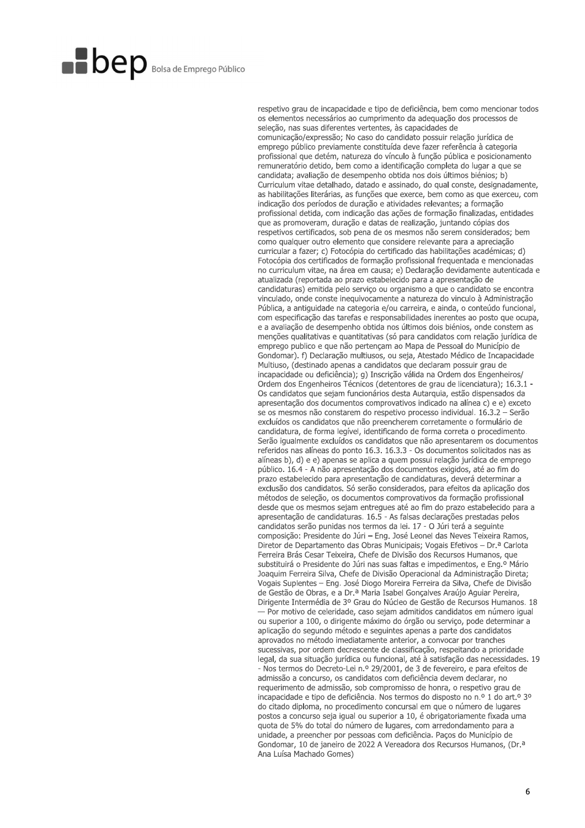respetivo grau de incapacidade e tipo de deficiência, bem como mencionar todos os elementos necessários ao cumprimento da adequação dos processos de seleção, nas suas diferentes vertentes, às capacidades de comunicação/expressão; No caso do candidato possuir relação jurídica de emprego público previamente constituída deve fazer referência à categoria profissional que detém, natureza do vínculo à função pública e posicionamento remuneratório detido, bem como a identificação completa do lugar a que se candidata; avaliação de desempenho obtida nos dois últimos biénios; b) Curriculum vitae detalhado, datado e assinado, do qual conste, designadamente, as habilitações literárias, as funções que exerce, bem como as que exerceu, com indicação dos períodos de duração e atividades relevantes; a formação profissional detida, com indicação das ações de formação finalizadas, entidades que as promoveram, duração e datas de realização, juntando cópias dos respetivos certificados, sob pena de os mesmos não serem considerados; bem como qualquer outro elemento que considere relevante para a apreciação curricular a fazer; c) Fotocópia do certificado das habilitações académicas; d) Fotocópia dos certificados de formação profissional frequentada e mencionadas no curriculum vitae, na área em causa; e) Declaração devidamente autenticada e atualizada (reportada ao prazo estabelecido para a apresentação de candidaturas) emitida pelo serviço ou organismo a que o candidato se encontra vinculado, onde conste inequivocamente a natureza do vinculo à Administração Pública, a antiguidade na categoria e/ou carreira, e ainda, o conteúdo funcional, com especificação das tarefas e responsabilidades inerentes ao posto que ocupa, e a avaliação de desempenho obtida nos últimos dois biénios, onde constem as menções qualitativas e quantitativas (só para candidatos com relação jurídica de emprego publico e que não pertençam ao Mapa de Pessoal do Município de Gondomar). f) Declaração multiusos, ou seja, Atestado Médico de Incapacidade Multiuso, (destinado apenas a candidatos que declaram possuir grau de incapacidade ou deficiência); q) Inscrição válida na Ordem dos Engenheiros/ Ordem dos Engenheiros Técnicos (detentores de grau de licenciatura): 16.3.1 Os candidatos que sejam funcionários desta Autarquia, estão dispensados da apresentação dos documentos comprovativos indicado na alínea c) e e) exceto se os mesmos não constarem do respetivo processo individual. 16.3.2 - Serão excluídos os candidatos que não preencherem corretamente o formulário de candidatura, de forma legível, identificando de forma correta o procedimento. Serão igualmente excluídos os candidatos que não apresentarem os documentos referidos nas alíneas do ponto 16.3, 16.3.3 - Os documentos solicitados nas as alíneas b), d) e e) apenas se aplica a quem possui relação jurídica de emprego público. 16.4 - A não apresentação dos documentos exigidos, até ao fim do prazo estabelecido para apresentação de candidaturas, deverá determinar a exclusão dos candidatos. Só serão considerados, para efeitos da aplicação dos métodos de seleção, os documentos comprovativos da formação profissional desde que os mesmos sejam entregues até ao fim do prazo estabelecido para a apresentação de candidaturas. 16.5 - As falsas declarações prestadas pelos candidatos serão punidas nos termos da lei. 17 - O Júri terá a seguinte composição: Presidente do Júri – Eng. José Leonel das Neves Teixeira Ramos, Diretor de Departamento das Obras Municipais; Vogais Efetivos - Dr.ª Carlota Ferreira Brás Cesar Teixeira, Chefe de Divisão dos Recursos Humanos, que substituirá o Presidente do Júri nas suas faltas e impedimentos, e Eng.º Mário Joaquim Ferreira Silva, Chefe de Divisão Operacional da Administração Direta; Vogais Suplentes - Eng. José Diogo Moreira Ferreira da Silva, Chefe de Divisão de Gestão de Obras, e a Dr.ª Maria Isabel Gonçalves Araújo Aguiar Pereira, Dirigente Intermédia de 3º Grau do Núcleo de Gestão de Recursos Humanos, 18 - Por motivo de celeridade, caso sejam admitidos candidatos em número igual ou superior a 100, o dirigente máximo do órgão ou serviço, pode determinar a aplicação do segundo método e seguintes apenas a parte dos candidatos aprovados no método imediatamente anterior, a convocar por tranches sucessivas, por ordem decrescente de classificação, respeitando a prioridade legal, da sua situação jurídica ou funcional, até à satisfação das necessidades. 19 - Nos termos do Decreto-Lei n.º 29/2001, de 3 de fevereiro, e para efeitos de admissão a concurso, os candidatos com deficiência devem declarar, no requerimento de admissão, sob compromisso de honra, o respetivo grau de incapacidade e tipo de deficiência. Nos termos do disposto no n.º 1 do art.º 3º do citado diploma, no procedimento concursal em que o número de lugares postos a concurso seja igual ou superior a 10, é obrigatoriamente fixada uma quota de 5% do total do número de lugares, com arredondamento para a unidade, a preencher por pessoas com deficiência. Paços do Município de Gondomar, 10 de janeiro de 2022 A Vereadora dos Recursos Humanos, (Dr.<sup>a</sup> Ana Luísa Machado Gomes)